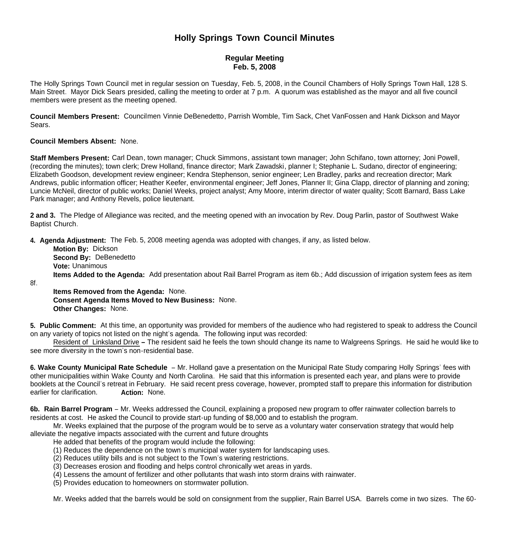# **Holly Springs Town Council Minutes**

## **Regular Meeting Feb. 5, 2008**

The Holly Springs Town Council met in regular session on Tuesday, Feb. 5, 2008, in the Council Chambers of Holly Springs Town Hall, 128 S. Main Street. Mayor Dick Sears presided, calling the meeting to order at 7 p.m. A quorum was established as the mayor and all five council members were present as the meeting opened.

**Council Members Present:** Councilmen Vinnie DeBenedetto, Parrish Womble, Tim Sack, Chet VanFossen and Hank Dickson and Mayor Sears.

#### **Council Members Absent:** None.

**Staff Members Present:** Carl Dean, town manager; Chuck Simmons, assistant town manager; John Schifano, town attorney; Joni Powell, (recording the minutes); town clerk; Drew Holland, finance director; Mark Zawadski, planner I; Stephanie L. Sudano, director of engineering; Elizabeth Goodson, development review engineer; Kendra Stephenson, senior engineer; Len Bradley, parks and recreation director; Mark Andrews, public information officer; Heather Keefer, environmental engineer; Jeff Jones, Planner II; Gina Clapp, director of planning and zoning; Luncie McNeil, director of public works; Daniel Weeks, project analyst; Amy Moore, interim director of water quality; Scott Barnard, Bass Lake Park manager; and Anthony Revels, police lieutenant.

**2 and 3.** The Pledge of Allegiance was recited, and the meeting opened with an invocation by Rev. Doug Parlin, pastor of Southwest Wake Baptist Church.

**4. Agenda Adjustment:** The Feb. 5, 2008 meeting agenda was adopted with changes, if any, as listed below.

 **Motion By:** Dickson **Second By:** DeBenedetto **Vote:** Unanimous **Items Added to the Agenda:** Add presentation about Rail Barrel Program as item 6b.; Add discussion of irrigation system fees as item

8f.

 **Items Removed from the Agenda:** None. **Consent Agenda Items Moved to New Business:** None. **Other Changes:** None.

**5. Public Comment:** At this time, an opportunity was provided for members of the audience who had registered to speak to address the Council on any variety of topics not listed on the night's agenda. The following input was recorded:

Resident of Linksland Drive **–** The resident said he feels the town should change its name to Walgreens Springs. He said he would like to see more diversity in the town's non-residential base.

**6. Wake County Municipal Rate Schedule** – Mr. Holland gave a presentation on the Municipal Rate Study comparing Holly Springs' fees with other municipalities within Wake County and North Carolina. He said that this information is presented each year, and plans were to provide booklets at the Council's retreat in February. He said recent press coverage, however, prompted staff to prepare this information for distribution earlier for clarification. **Action:** None.

**6b. Rain Barrel Program** – Mr. Weeks addressed the Council, explaining a proposed new program to offer rainwater collection barrels to residents at cost. He asked the Council to provide start-up funding of \$8,000 and to establish the program.

 Mr. Weeks explained that the purpose of the program would be to serve as a voluntary water conservation strategy that would help alleviate the negative impacts associated with the current and future droughts

- He added that benefits of the program would include the following:
- (1) Reduces the dependence on the town's municipal water system for landscaping uses.
- (2) Reduces utility bills and is not subject to the Town's watering restrictions.
- (3) Decreases erosion and flooding and helps control chronically wet areas in yards.
- (4) Lessens the amount of fertilizer and other pollutants that wash into storm drains with rainwater.
- (5) Provides education to homeowners on stormwater pollution.

Mr. Weeks added that the barrels would be sold on consignment from the supplier, Rain Barrel USA. Barrels come in two sizes. The 60-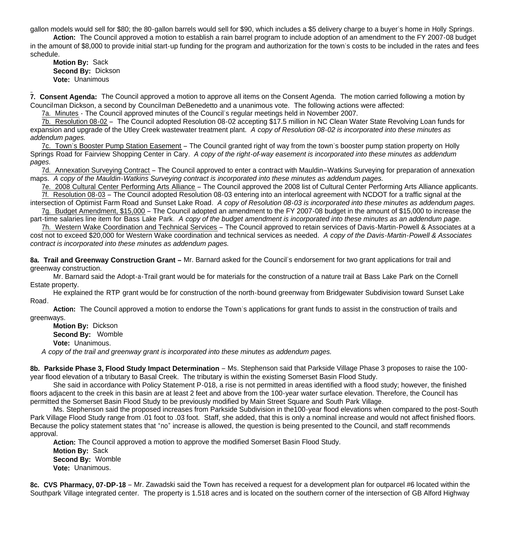gallon models would sell for \$80; the 80-gallon barrels would sell for \$90, which includes a \$5 delivery charge to a buyer's home in Holly Springs.

**Action:** The Council approved a motion to establish a rain barrel program to include adoption of an amendment to the FY 2007-08 budget in the amount of \$8,000 to provide initial start-up funding for the program and authorization for the town's costs to be included in the rates and fees schedule.

**Motion By:** Sack **Second By:** Dickson **Vote:** Unanimous

**7. Consent Agenda:** The Council approved a motion to approve all items on the Consent Agenda. The motion carried following a motion by Councilman Dickson, a second by Councilman DeBenedetto and a unanimous vote. The following actions were affected:

7a. Minutes - The Council approved minutes of the Council's regular meetings held in November 2007.

7b. Resolution 08-02 – The Council adopted Resolution 08-02 accepting \$17.5 million in NC Clean Water State Revolving Loan funds for expansion and upgrade of the Utley Creek wastewater treatment plant. *A copy of Resolution 08-02 is incorporated into these minutes as addendum pages.*

7c. Town's Booster Pump Station Easement – The Council granted right of way from the town's booster pump station property on Holly Springs Road for Fairview Shopping Center in Cary. *A copy of the right-of-way easement is incorporated into these minutes as addendum pages.*

7d. Annexation Surveying Contract – The Council approved to enter a contract with Mauldin–Watkins Surveying for preparation of annexation maps. *A copy of the Mauldin-Watkins Surveying contract is incorporated into these minutes as addendum pages.*

7e. 2008 Cultural Center Performing Arts Alliance – The Council approved the 2008 list of Cultural Center Performing Arts Alliance applicants. 7f. Resolution 08-03 – The Council adopted Resolution 08-03 entering into an interlocal agreement with NCDOT for a traffic signal at the

intersection of Optimist Farm Road and Sunset Lake Road. *A copy of Resolution 08-03 is incorporated into these minutes as addendum pages.* 7g. Budget Amendment, \$15,000 – The Council adopted an amendment to the FY 2007-08 budget in the amount of \$15,000 to increase the

part-time salaries line item for Bass Lake Park. *A copy of the budget amendment is incorporated into these minutes as an addendum page.*  7h. Western Wake Coordination and Technical Services – The Council approved to retain services of Davis-Martin-Powell & Associates at a

cost not to exceed \$20,000 for Western Wake coordination and technical services as needed. *A copy of the Davis-Martin-Powell & Associates contract is incorporated into these minutes as addendum pages.*

**8a. Trail and Greenway Construction Grant –** Mr. Barnard asked for the Council's endorsement for two grant applications for trail and greenway construction.

 Mr. Barnard said the Adopt-a-Trail grant would be for materials for the construction of a nature trail at Bass Lake Park on the Cornell Estate property.

 He explained the RTP grant would be for construction of the north-bound greenway from Bridgewater Subdivision toward Sunset Lake Road.

 **Action:** The Council approved a motion to endorse the Town's applications for grant funds to assist in the construction of trails and greenways.

 **Motion By:** Dickson **Second By:** Womble **Vote:** Unanimous.

*A copy of the trail and greenway grant is incorporated into these minutes as addendum pages.*

**8b. Parkside Phase 3, Flood Study Impact Determination** – Ms. Stephenson said that Parkside Village Phase 3 proposes to raise the 100 year flood elevation of a tributary to Basal Creek. The tributary is within the existing Somerset Basin Flood Study.

 She said in accordance with Policy Statement P-018, a rise is not permitted in areas identified with a flood study; however, the finished floors adjacent to the creek in this basin are at least 2 feet and above from the 100-year water surface elevation. Therefore, the Council has permitted the Somerset Basin Flood Study to be previously modified by Main Street Square and South Park Village.

 Ms. Stephenson said the proposed increases from Parkside Subdivision in the100-year flood elevations when compared to the post-South Park Village Flood Study range from .01 foot to .03 foot. Staff, she added, that this is only a nominal increase and would not affect finished floors. Because the policy statement states that "no" increase is allowed, the question is being presented to the Council, and staff recommends approval.

**Action:** The Council approved a motion to approve the modified Somerset Basin Flood Study.

**Motion By:** Sack **Second By:** Womble **Vote:** Unanimous.

**8c. CVS Pharmacy, 07-DP-18** – Mr. Zawadski said the Town has received a request for a development plan for outparcel #6 located within the Southpark Village integrated center. The property is 1.518 acres and is located on the southern corner of the intersection of GB Alford Highway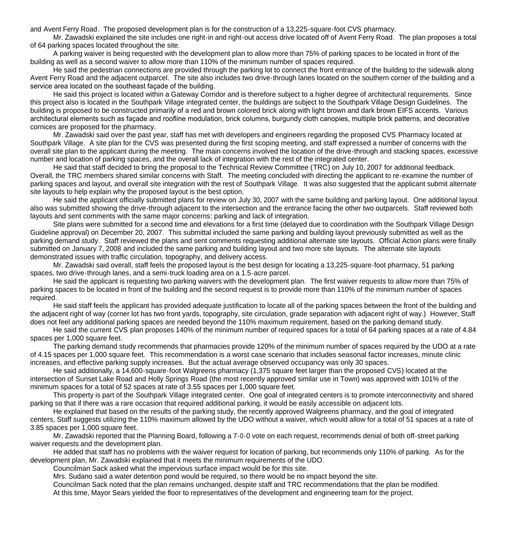and Avent Ferry Road. The proposed development plan is for the construction of a 13,225-square-foot CVS pharmacy.

Mr. Zawadski explained the site includes one right-in and right-out access drive located off of Avent Ferry Road. The plan proposes a total of 64 parking spaces located throughout the site.

A parking waiver is being requested with the development plan to allow more than 75% of parking spaces to be located in front of the building as well as a second waiver to allow more than 110% of the minimum number of spaces required.

He said the pedestrian connections are provided through the parking lot to connect the front entrance of the building to the sidewalk along Avent Ferry Road and the adjacent outparcel. The site also includes two drive-through lanes located on the southern corner of the building and a service area located on the southeast façade of the building.

He said this project is located within a Gateway Corridor and is therefore subject to a higher degree of architectural requirements. Since this project also is located in the Southpark Village integrated center, the buildings are subject to the Southpark Village Design Guidelines. The building is proposed to be constructed primarily of a red and brown colored brick along with light brown and dark brown EIFS accents. Various architectural elements such as façade and roofline modulation, brick columns, burgundy cloth canopies, multiple brick patterns, and decorative cornices are proposed for the pharmacy.

Mr. Zawadski said over the past year, staff has met with developers and engineers regarding the proposed CVS Pharmacy located at Southpark Village. A site plan for the CVS was presented during the first scoping meeting, and staff expressed a number of concerns with the overall site plan to the applicant during the meeting. The main concerns involved the location of the drive-through and stacking spaces, excessive number and location of parking spaces, and the overall lack of integration with the rest of the integrated center.

He said that staff decided to bring the proposal to the Technical Review Committee (TRC) on July 10, 2007 for additional feedback. Overall, the TRC members shared similar concerns with Staff. The meeting concluded with directing the applicant to re-examine the number of parking spaces and layout, and overall site integration with the rest of Southpark Village. It was also suggested that the applicant submit alternate site layouts to help explain why the proposed layout is the best option.

He said the applicant officially submitted plans for review on July 30, 2007 with the same building and parking layout. One additional layout also was submitted showing the drive-through adjacent to the intersection and the entrance facing the other two outparcels. Staff reviewed both layouts and sent comments with the same major concerns: parking and lack of integration.

Site plans were submitted for a second time and elevations for a first time (delayed due to coordination with the Southpark Village Design Guideline approval) on December 20, 2007. This submittal included the same parking and building layout previously submitted as well as the parking demand study. Staff reviewed the plans and sent comments requesting additional alternate site layouts. Official Action plans were finally submitted on January 7, 2008 and included the same parking and building layout and two more site layouts. The alternate site layouts demonstrated issues with traffic circulation, topography, and delivery access.

Mr. Zawadski said overall, staff feels the proposed layout is the best design for locating a 13,225-square-foot pharmacy, 51 parking spaces, two drive-through lanes, and a semi-truck loading area on a 1.5-acre parcel.

He said the applicant is requesting two parking waivers with the development plan. The first waiver requests to allow more than 75% of parking spaces to be located in front of the building and the second request is to provide more than 110% of the minimum number of spaces required.

 He said staff feels the applicant has provided adequate justification to locate all of the parking spaces between the front of the building and the adjacent right of way (corner lot has two front yards, topography, site circulation, grade separation with adjacent right of way.) However, Staff does not feel any additional parking spaces are needed beyond the 110% maximum requirement, based on the parking demand study.

He said the current CVS plan proposes 140% of the minimum number of required spaces for a total of 64 parking spaces at a rate of 4.84 spaces per 1,000 square feet.

The parking demand study recommends that pharmacies provide 120% of the minimum number of spaces required by the UDO at a rate of 4.15 spaces per 1,000 square feet. This recommendation is a worst case scenario that includes seasonal factor increases, minute clinic increases, and effective parking supply increases. But the actual average observed occupancy was only 30 spaces.

He said additionally, a 14,600-square-foot Walgreens pharmacy (1,375 square feet larger than the proposed CVS) located at the intersection of Sunset Lake Road and Holly Springs Road (the most recently approved similar use in Town) was approved with 101% of the minimum spaces for a total of 52 spaces at rate of 3.55 spaces per 1,000 square feet.

This property is part of the Southpark Village integrated center. One goal of integrated centers is to promote interconnectivity and shared parking so that if there was a rare occasion that required additional parking, it would be easily accessible on adjacent lots.

He explained that based on the results of the parking study, the recently approved Walgreens pharmacy, and the goal of integrated centers, Staff suggests utilizing the 110% maximum allowed by the UDO without a waiver, which would allow for a total of 51 spaces at a rate of 3.85 spaces per 1,000 square feet.

Mr. Zawadski reported that the Planning Board, following a 7-0-0 vote on each request, recommends denial of both off-street parking waiver requests and the development plan.

He added that staff has no problems with the waiver request for location of parking, but recommends only 110% of parking. As for the development plan, Mr. Zawadski explained that it meets the minimum requirements of the UDO.

Councilman Sack asked what the impervious surface impact would be for this site.

Mrs. Sudano said a water detention pond would be required, so there would be no impact beyond the site.

Councilman Sack noted that the plan remains unchanged, despite staff and TRC recommendations that the plan be modified.

At this time, Mayor Sears yielded the floor to representatives of the development and engineering team for the project.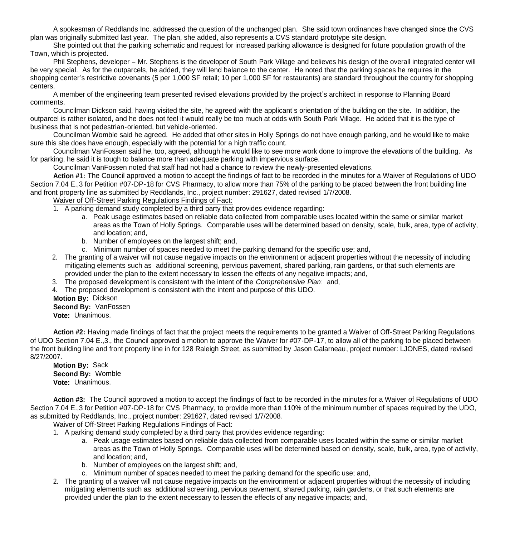A spokesman of Reddlands Inc. addressed the question of the unchanged plan. She said town ordinances have changed since the CVS plan was originally submitted last year. The plan, she added, also represents a CVS standard prototype site design.

She pointed out that the parking schematic and request for increased parking allowance is designed for future population growth of the Town, which is projected.

Phil Stephens, developer – Mr. Stephens is the developer of South Park Village and believes his design of the overall integrated center will be very special. As for the outparcels, he added, they will lend balance to the center. He noted that the parking spaces he requires in the shopping center's restrictive covenants (5 per 1,000 SF retail; 10 per 1,000 SF for restaurants) are standard throughout the country for shopping centers.

A member of the engineering team presented revised elevations provided by the project's architect in response to Planning Board comments.

Councilman Dickson said, having visited the site, he agreed with the applicant's orientation of the building on the site. In addition, the outparcel is rather isolated, and he does not feel it would really be too much at odds with South Park Village. He added that it is the type of business that is not pedestrian-oriented, but vehicle-oriented.

Councilman Womble said he agreed. He added that other sites in Holly Springs do not have enough parking, and he would like to make sure this site does have enough, especially with the potential for a high traffic count.

Councilman VanFossen said he, too, agreed, although he would like to see more work done to improve the elevations of the building. As for parking, he said it is tough to balance more than adequate parking with impervious surface.

Councilman VanFossen noted that staff had not had a chance to review the newly-presented elevations.

**Action #1:** The Council approved a motion to accept the findings of fact to be recorded in the minutes for a Waiver of Regulations of UDO Section 7.04 E.,3 for Petition #07-DP-18 for CVS Pharmacy, to allow more than 75% of the parking to be placed between the front building line and front property line as submitted by Reddlands, Inc., project number: 291627, dated revised 1/7/2008.

#### Waiver of Off-Street Parking Regulations Findings of Fact:

- 1. A parking demand study completed by a third party that provides evidence regarding:
	- a. Peak usage estimates based on reliable data collected from comparable uses located within the same or similar market areas as the Town of Holly Springs. Comparable uses will be determined based on density, scale, bulk, area, type of activity, and location; and,
	- b. Number of employees on the largest shift; and,
	- c. Minimum number of spaces needed to meet the parking demand for the specific use; and,
- 2. The granting of a waiver will not cause negative impacts on the environment or adjacent properties without the necessity of including mitigating elements such as additional screening, pervious pavement, shared parking, rain gardens, or that such elements are provided under the plan to the extent necessary to lessen the effects of any negative impacts; and,
- 3. The proposed development is consistent with the intent of the *Comprehensive Plan*; and,
- 4. The proposed development is consistent with the intent and purpose of this UDO.

**Motion By:** Dickson

 **Second By:** VanFossen **Vote:** Unanimous.

**Action #2:** Having made findings of fact that the project meets the requirements to be granted a Waiver of Off-Street Parking Regulations of UDO Section 7.04 E.,3., the Council approved a motion to approve the Waiver for #07-DP-17, to allow all of the parking to be placed between the front building line and front property line in for 128 Raleigh Street, as submitted by Jason Galarneau, project number: LJONES, dated revised 8/27/2007.

**Motion By:** Sack **Second By:** Womble **Vote:** Unanimous.

 **Action #3:** The Council approved a motion to accept the findings of fact to be recorded in the minutes for a Waiver of Regulations of UDO Section 7.04 E.,3 for Petition #07-DP-18 for CVS Pharmacy, to provide more than 110% of the minimum number of spaces required by the UDO, as submitted by Reddlands, Inc., project number: 291627, dated revised 1/7/2008.

Waiver of Off-Street Parking Regulations Findings of Fact:

- 1. A parking demand study completed by a third party that provides evidence regarding:
	- a. Peak usage estimates based on reliable data collected from comparable uses located within the same or similar market areas as the Town of Holly Springs. Comparable uses will be determined based on density, scale, bulk, area, type of activity, and location; and,
	- b. Number of employees on the largest shift; and,
	- c. Minimum number of spaces needed to meet the parking demand for the specific use; and,
- 2. The granting of a waiver will not cause negative impacts on the environment or adjacent properties without the necessity of including mitigating elements such as additional screening, pervious pavement, shared parking, rain gardens, or that such elements are provided under the plan to the extent necessary to lessen the effects of any negative impacts; and,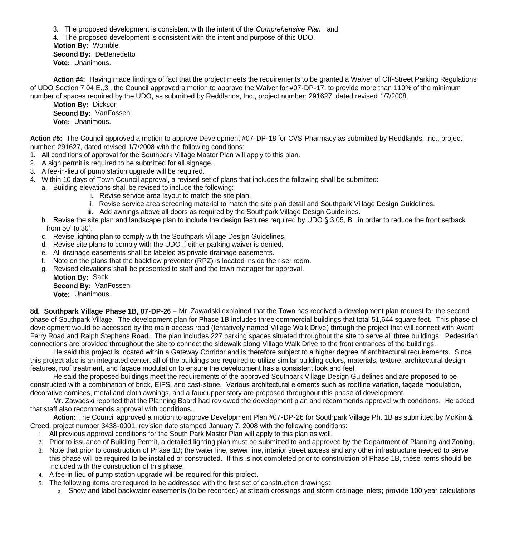3. The proposed development is consistent with the intent of the *Comprehensive Plan*; and,

- 4. The proposed development is consistent with the intent and purpose of this UDO.
- **Motion By:** Womble **Second By:** DeBenedetto
- **Vote:** Unanimous.

**Action #4:** Having made findings of fact that the project meets the requirements to be granted a Waiver of Off-Street Parking Regulations of UDO Section 7.04 E.,3., the Council approved a motion to approve the Waiver for #07-DP-17, to provide more than 110% of the minimum number of spaces required by the UDO, as submitted by Reddlands, Inc., project number: 291627, dated revised 1/7/2008.

**Motion By:** Dickson **Second By:** VanFossen **Vote:** Unanimous.

**Action #5:** The Council approved a motion to approve Development #07-DP-18 for CVS Pharmacy as submitted by Reddlands, Inc., project number: 291627, dated revised 1/7/2008 with the following conditions:

- 1. All conditions of approval for the Southpark Village Master Plan will apply to this plan.
- 2. A sign permit is required to be submitted for all signage.
- 3. A fee-in-lieu of pump station upgrade will be required.
- 4. Within 10 days of Town Council approval, a revised set of plans that includes the following shall be submitted:
	- a. Building elevations shall be revised to include the following:
		- i. Revise service area layout to match the site plan.
		- ii. Revise service area screening material to match the site plan detail and Southpark Village Design Guidelines.
		- iii. Add awnings above all doors as required by the Southpark Village Design Guidelines.
	- b. Revise the site plan and landscape plan to include the design features required by UDO § 3.05, B., in order to reduce the front setback from 50' to 30'.
	- c. Revise lighting plan to comply with the Southpark Village Design Guidelines.
	- d. Revise site plans to comply with the UDO if either parking waiver is denied.
	- e. All drainage easements shall be labeled as private drainage easements.
	- f. Note on the plans that the backflow preventor (RPZ) is located inside the riser room.
	- g. Revised elevations shall be presented to staff and the town manager for approval.
		- **Motion By:** Sack **Second By:** VanFossen **Vote:** Unanimous.

**8d. Southpark Village Phase 1B, 07-DP-26** – Mr. Zawadski explained that the Town has received a development plan request for the second phase of Southpark Village. The development plan for Phase 1B includes three commercial buildings that total 51,644 square feet. This phase of development would be accessed by the main access road (tentatively named Village Walk Drive) through the project that will connect with Avent Ferry Road and Ralph Stephens Road. The plan includes 227 parking spaces situated throughout the site to serve all three buildings. Pedestrian connections are provided throughout the site to connect the sidewalk along Village Walk Drive to the front entrances of the buildings.

 He said this project is located within a Gateway Corridor and is therefore subject to a higher degree of architectural requirements. Since this project also is an integrated center, all of the buildings are required to utilize similar building colors, materials, texture, architectural design features, roof treatment, and façade modulation to ensure the development has a consistent look and feel.

 He said the proposed buildings meet the requirements of the approved Southpark Village Design Guidelines and are proposed to be constructed with a combination of brick, EIFS, and cast-stone. Various architectural elements such as roofline variation, façade modulation, decorative cornices, metal and cloth awnings, and a faux upper story are proposed throughout this phase of development.

 Mr. Zawadski reported that the Planning Board had reviewed the development plan and recommends approval with conditions. He added that staff also recommends approval with conditions.

**Action:** The Council approved a motion to approve Development Plan #07-DP-26 for Southpark Village Ph. 1B as submitted by McKim & Creed, project number 3438-0001, revision date stamped January 7, 2008 with the following conditions:

- 1. All previous approval conditions for the South Park Master Plan will apply to this plan as well.
- 2. Prior to issuance of Building Permit, a detailed lighting plan must be submitted to and approved by the Department of Planning and Zoning.
- 3. Note that prior to construction of Phase 1B; the water line, sewer line, interior street access and any other infrastructure needed to serve this phase will be required to be installed or constructed. If this is not completed prior to construction of Phase 1B, these items should be included with the construction of this phase.
- 4. A fee-in-lieu of pump station upgrade will be required for this project.
- 5. The following items are required to be addressed with the first set of construction drawings:
	- a. Show and label backwater easements (to be recorded) at stream crossings and storm drainage inlets; provide 100 year calculations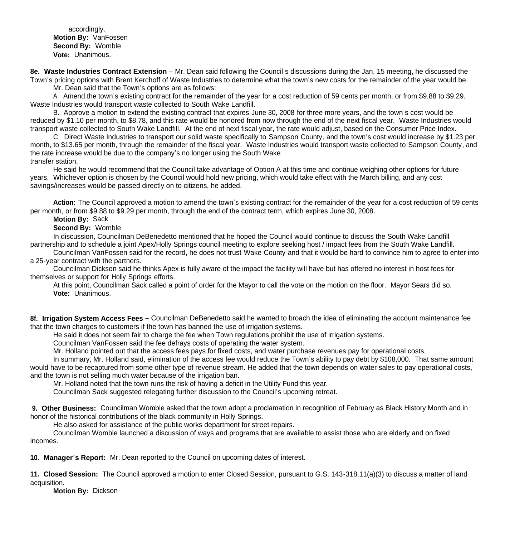accordingly. **Motion By:** VanFossen **Second By:** Womble **Vote:** Unanimous.

**8e. Waste Industries Contract Extension** – Mr. Dean said following the Council's discussions during the Jan. 15 meeting, he discussed the Town's pricing options with Brent Kerchoff of Waste Industries to determine what the town's new costs for the remainder of the year would be.

Mr. Dean said that the Town's options are as follows:

 A. Amend the town's existing contract for the remainder of the year for a cost reduction of 59 cents per month, or from \$9.88 to \$9.29. Waste Industries would transport waste collected to South Wake Landfill.

 B. Approve a motion to extend the existing contract that expires June 30, 2008 for three more years, and the town's cost would be reduced by \$1.10 per month, to \$8.78, and this rate would be honored from now through the end of the next fiscal year. Waste Industries would transport waste collected to South Wake Landfill. At the end of next fiscal year, the rate would adjust, based on the Consumer Price Index.

 C. Direct Waste Industries to transport our solid waste specifically to Sampson County, and the town's cost would increase by \$1.23 per month, to \$13.65 per month, through the remainder of the fiscal year. Waste Industries would transport waste collected to Sampson County, and the rate increase would be due to the company's no longer using the South Wake transfer station.

 He said he would recommend that the Council take advantage of Option A at this time and continue weighing other options for future years. Whichever option is chosen by the Council would hold new pricing, which would take effect with the March billing, and any cost savings/increases would be passed directly on to citizens, he added.

**Action:** The Council approved a motion to amend the town's existing contract for the remainder of the year for a cost reduction of 59 cents per month, or from \$9.88 to \$9.29 per month, through the end of the contract term, which expires June 30, 2008.

**Motion By:** Sack

**Second By:** Womble

 In discussion, Councilman DeBenedetto mentioned that he hoped the Council would continue to discuss the South Wake Landfill partnership and to schedule a joint Apex/Holly Springs council meeting to explore seeking host / impact fees from the South Wake Landfill.

 Councilman VanFossen said for the record, he does not trust Wake County and that it would be hard to convince him to agree to enter into a 25-year contract with the partners.

 Councilman Dickson said he thinks Apex is fully aware of the impact the facility will have but has offered no interest in host fees for themselves or support for Holly Springs efforts.

 At this point, Councilman Sack called a point of order for the Mayor to call the vote on the motion on the floor. Mayor Sears did so. **Vote:** Unanimous.

**8f. Irrigation System Access Fees** – Councilman DeBenedetto said he wanted to broach the idea of eliminating the account maintenance fee that the town charges to customers if the town has banned the use of irrigation systems.

He said it does not seem fair to charge the fee when Town regulations prohibit the use of irrigation systems.

Councilman VanFossen said the fee defrays costs of operating the water system.

Mr. Holland pointed out that the access fees pays for fixed costs, and water purchase revenues pay for operational costs.

 In summary, Mr. Holland said, elimination of the access fee would reduce the Town's ability to pay debt by \$108,000. That same amount would have to be recaptured from some other type of revenue stream. He added that the town depends on water sales to pay operational costs, and the town is not selling much water because of the irrigation ban.

Mr. Holland noted that the town runs the risk of having a deficit in the Utility Fund this year.

Councilman Sack suggested relegating further discussion to the Council's upcoming retreat.

**9. Other Business:** Councilman Womble asked that the town adopt a proclamation in recognition of February as Black History Month and in honor of the historical contributions of the black community in Holly Springs.

He also asked for assistance of the public works department for street repairs.

 Councilman Womble launched a discussion of ways and programs that are available to assist those who are elderly and on fixed incomes.

**10. Manager's Report:** Mr. Dean reported to the Council on upcoming dates of interest.

**11. Closed Session:** The Council approved a motion to enter Closed Session, pursuant to G.S. 143-318.11(a)(3) to discuss a matter of land acquisition.

**Motion By:** Dickson